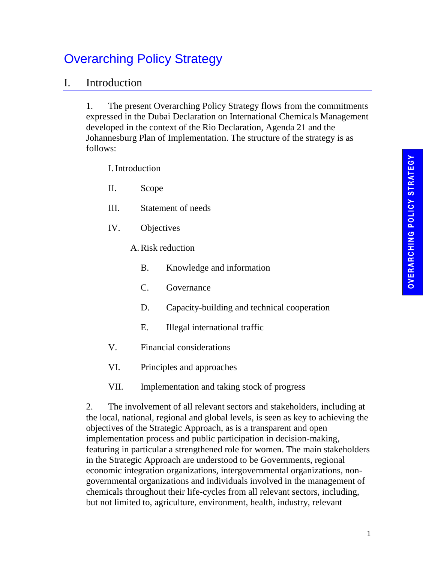# Overarching Policy Strategy

## I. Introduction

1. The present Overarching Policy Strategy flows from the commitments expressed in the Dubai Declaration on International Chemicals Management developed in the context of the Rio Declaration, Agenda 21 and the Johannesburg Plan of Implementation. The structure of the strategy is as follows:

I.Introduction

- II. Scope
- III. Statement of needs
- IV. Objectives
	- A.Risk reduction
		- B. Knowledge and information
		- C. Governance
		- D. Capacity-building and technical cooperation
		- E. Illegal international traffic
- V. Financial considerations
- VI. Principles and approaches
- VII. Implementation and taking stock of progress

2. The involvement of all relevant sectors and stakeholders, including at the local, national, regional and global levels, is seen as key to achieving the objectives of the Strategic Approach, as is a transparent and open implementation process and public participation in decision-making, featuring in particular a strengthened role for women. The main stakeholders in the Strategic Approach are understood to be Governments, regional economic integration organizations, intergovernmental organizations, nongovernmental organizations and individuals involved in the management of chemicals throughout their life-cycles from all relevant sectors, including, but not limited to, agriculture, environment, health, industry, relevant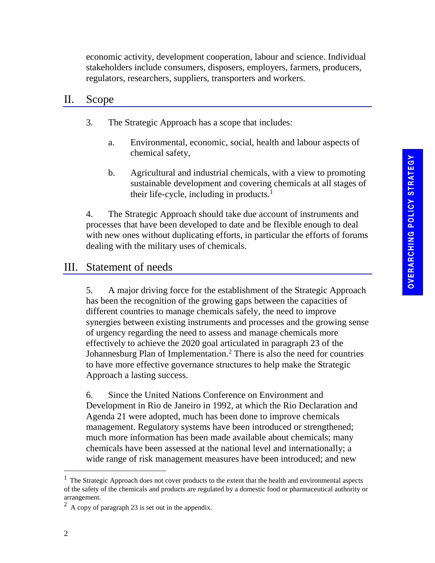economic activity, development cooperation, labour and science. Individual stakeholders include consumers, disposers, employers, farmers, producers, regulators, researchers, suppliers, transporters and workers.

#### II. Scope

- 3. The Strategic Approach has a scope that includes:
	- a. Environmental, economic, social, health and labour aspects of chemical safety,
	- b. Agricultural and industrial chemicals, with a view to promoting sustainable development and covering chemicals at all stages of their life-cycle, including in products. $<sup>1</sup>$ </sup>

4. The Strategic Approach should take due account of instruments and processes that have been developed to date and be flexible enough to deal with new ones without duplicating efforts, in particular the efforts of forums dealing with the military uses of chemicals.

## III. Statement of needs

5. A major driving force for the establishment of the Strategic Approach has been the recognition of the growing gaps between the capacities of different countries to manage chemicals safely, the need to improve synergies between existing instruments and processes and the growing sense of urgency regarding the need to assess and manage chemicals more effectively to achieve the 2020 goal articulated in paragraph 23 of the Johannesburg Plan of Implementation.<sup>2</sup> There is also the need for countries to have more effective governance structures to help make the Strategic Approach a lasting success.

6. Since the United Nations Conference on Environment and Development in Rio de Janeiro in 1992, at which the Rio Declaration and Agenda 21 were adopted, much has been done to improve chemicals management. Regulatory systems have been introduced or strengthened; much more information has been made available about chemicals; many chemicals have been assessed at the national level and internationally; a wide range of risk management measures have been introduced; and new

l

 $<sup>1</sup>$  The Strategic Approach does not cover products to the extent that the health and environmental aspects</sup> of the safety of the chemicals and products are regulated by a domestic food or pharmaceutical authority or arrangement.

<sup>&</sup>lt;sup>2</sup> A copy of paragraph 23 is set out in the appendix.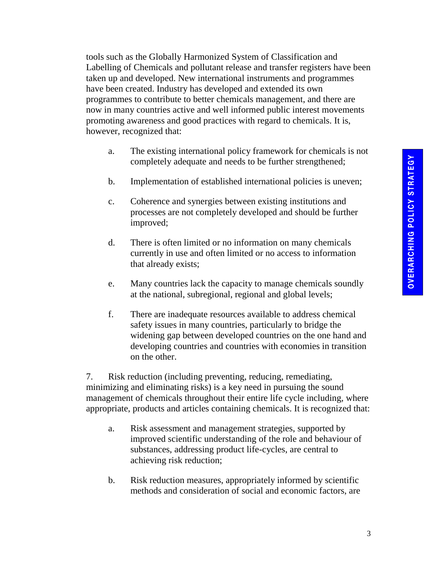tools such as the Globally Harmonized System of Classification and Labelling of Chemicals and pollutant release and transfer registers have been taken up and developed. New international instruments and programmes have been created. Industry has developed and extended its own programmes to contribute to better chemicals management, and there are now in many countries active and well informed public interest movements promoting awareness and good practices with regard to chemicals. It is, however, recognized that:

- a. The existing international policy framework for chemicals is not completely adequate and needs to be further strengthened;
- b. Implementation of established international policies is uneven;
- c. Coherence and synergies between existing institutions and processes are not completely developed and should be further improved;
- d. There is often limited or no information on many chemicals currently in use and often limited or no access to information that already exists;
- e. Many countries lack the capacity to manage chemicals soundly at the national, subregional, regional and global levels;
- f. There are inadequate resources available to address chemical safety issues in many countries, particularly to bridge the widening gap between developed countries on the one hand and developing countries and countries with economies in transition on the other.

7. Risk reduction (including preventing, reducing, remediating, minimizing and eliminating risks) is a key need in pursuing the sound management of chemicals throughout their entire life cycle including, where appropriate, products and articles containing chemicals. It is recognized that:

- a. Risk assessment and management strategies, supported by improved scientific understanding of the role and behaviour of substances, addressing product life-cycles, are central to achieving risk reduction;
- b. Risk reduction measures, appropriately informed by scientific methods and consideration of social and economic factors, are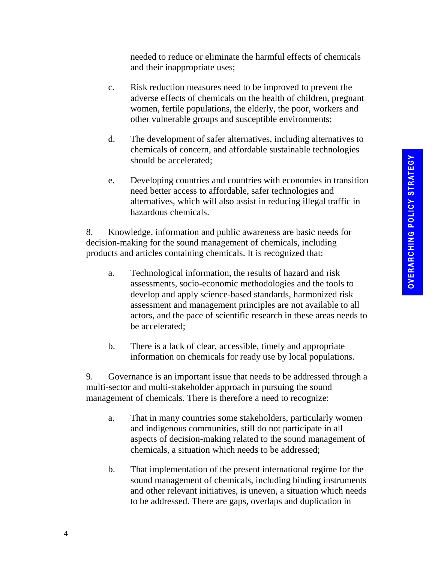needed to reduce or eliminate the harmful effects of chemicals and their inappropriate uses;

- c. Risk reduction measures need to be improved to prevent the adverse effects of chemicals on the health of children, pregnant women, fertile populations, the elderly, the poor, workers and other vulnerable groups and susceptible environments;
- d. The development of safer alternatives, including alternatives to chemicals of concern, and affordable sustainable technologies should be accelerated;
- e. Developing countries and countries with economies in transition need better access to affordable, safer technologies and alternatives, which will also assist in reducing illegal traffic in hazardous chemicals.

8. Knowledge, information and public awareness are basic needs for decision-making for the sound management of chemicals, including products and articles containing chemicals. It is recognized that:

- a. Technological information, the results of hazard and risk assessments, socio-economic methodologies and the tools to develop and apply science-based standards, harmonized risk assessment and management principles are not available to all actors, and the pace of scientific research in these areas needs to be accelerated;
- b. There is a lack of clear, accessible, timely and appropriate information on chemicals for ready use by local populations.

9. Governance is an important issue that needs to be addressed through a multi-sector and multi-stakeholder approach in pursuing the sound management of chemicals. There is therefore a need to recognize:

- a. That in many countries some stakeholders, particularly women and indigenous communities, still do not participate in all aspects of decision-making related to the sound management of chemicals, a situation which needs to be addressed;
- b. That implementation of the present international regime for the sound management of chemicals, including binding instruments and other relevant initiatives, is uneven, a situation which needs to be addressed. There are gaps, overlaps and duplication in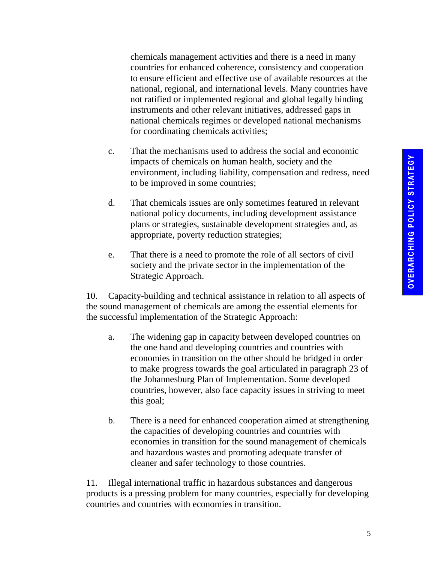chemicals management activities and there is a need in many countries for enhanced coherence, consistency and cooperation to ensure efficient and effective use of available resources at the national, regional, and international levels. Many countries have not ratified or implemented regional and global legally binding instruments and other relevant initiatives, addressed gaps in national chemicals regimes or developed national mechanisms for coordinating chemicals activities;

- c. That the mechanisms used to address the social and economic impacts of chemicals on human health, society and the environment, including liability, compensation and redress, need to be improved in some countries;
- d. That chemicals issues are only sometimes featured in relevant national policy documents, including development assistance plans or strategies, sustainable development strategies and, as appropriate, poverty reduction strategies;
- e. That there is a need to promote the role of all sectors of civil society and the private sector in the implementation of the Strategic Approach.

10. Capacity-building and technical assistance in relation to all aspects of the sound management of chemicals are among the essential elements for the successful implementation of the Strategic Approach:

- a. The widening gap in capacity between developed countries on the one hand and developing countries and countries with economies in transition on the other should be bridged in order to make progress towards the goal articulated in paragraph 23 of the Johannesburg Plan of Implementation. Some developed countries, however, also face capacity issues in striving to meet this goal;
- b. There is a need for enhanced cooperation aimed at strengthening the capacities of developing countries and countries with economies in transition for the sound management of chemicals and hazardous wastes and promoting adequate transfer of cleaner and safer technology to those countries.

11. Illegal international traffic in hazardous substances and dangerous products is a pressing problem for many countries, especially for developing countries and countries with economies in transition.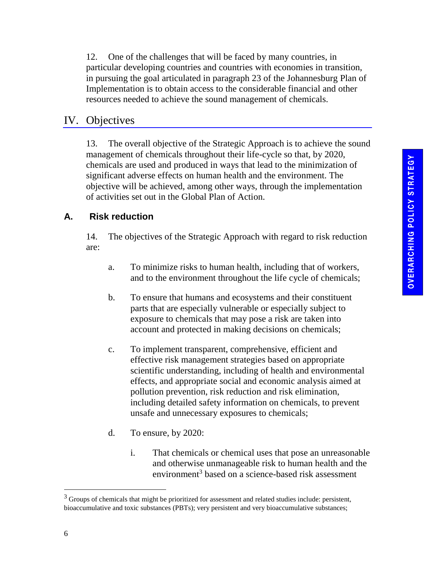12. One of the challenges that will be faced by many countries, in particular developing countries and countries with economies in transition, in pursuing the goal articulated in paragraph 23 of the Johannesburg Plan of Implementation is to obtain access to the considerable financial and other resources needed to achieve the sound management of chemicals.

## IV. Objectives

13. The overall objective of the Strategic Approach is to achieve the sound management of chemicals throughout their life-cycle so that, by 2020, chemicals are used and produced in ways that lead to the minimization of significant adverse effects on human health and the environment. The objective will be achieved, among other ways, through the implementation of activities set out in the Global Plan of Action.

## **A. Risk reduction**

14. The objectives of the Strategic Approach with regard to risk reduction are:

- a. To minimize risks to human health, including that of workers, and to the environment throughout the life cycle of chemicals;
- b. To ensure that humans and ecosystems and their constituent parts that are especially vulnerable or especially subject to exposure to chemicals that may pose a risk are taken into account and protected in making decisions on chemicals;
- c. To implement transparent, comprehensive, efficient and effective risk management strategies based on appropriate scientific understanding, including of health and environmental effects, and appropriate social and economic analysis aimed at pollution prevention, risk reduction and risk elimination, including detailed safety information on chemicals, to prevent unsafe and unnecessary exposures to chemicals;
- d. To ensure, by 2020:
	- i. That chemicals or chemical uses that pose an unreasonable and otherwise unmanageable risk to human health and the environment<sup>3</sup> based on a science-based risk assessment

l

<sup>&</sup>lt;sup>3</sup> Groups of chemicals that might be prioritized for assessment and related studies include: persistent, bioaccumulative and toxic substances (PBTs); very persistent and very bioaccumulative substances;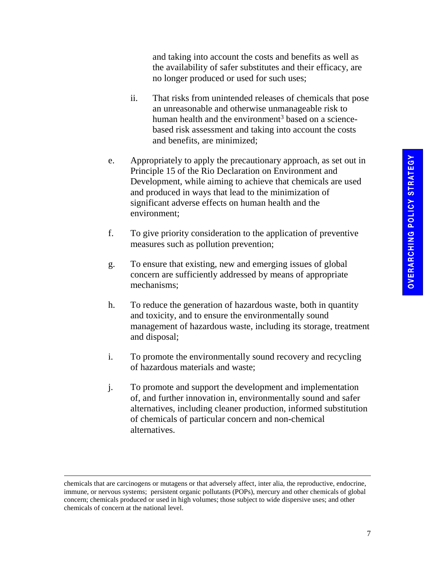and taking into account the costs and benefits as well as the availability of safer substitutes and their efficacy, are no longer produced or used for such uses;

- ii. That risks from unintended releases of chemicals that pose an unreasonable and otherwise unmanageable risk to human health and the environment<sup>3</sup> based on a sciencebased risk assessment and taking into account the costs and benefits, are minimized;
- e. Appropriately to apply the precautionary approach, as set out in Principle 15 of the Rio Declaration on Environment and Development, while aiming to achieve that chemicals are used and produced in ways that lead to the minimization of significant adverse effects on human health and the environment;
- f. To give priority consideration to the application of preventive measures such as pollution prevention;
- g. To ensure that existing, new and emerging issues of global concern are sufficiently addressed by means of appropriate mechanisms;
- h. To reduce the generation of hazardous waste, both in quantity and toxicity, and to ensure the environmentally sound management of hazardous waste, including its storage, treatment and disposal;
- i. To promote the environmentally sound recovery and recycling of hazardous materials and waste;
- j. To promote and support the development and implementation of, and further innovation in, environmentally sound and safer alternatives, including cleaner production, informed substitution of chemicals of particular concern and non-chemical alternatives.

l

chemicals that are carcinogens or mutagens or that adversely affect, inter alia, the reproductive, endocrine, immune, or nervous systems; persistent organic pollutants (POPs), mercury and other chemicals of global concern; chemicals produced or used in high volumes; those subject to wide dispersive uses; and other chemicals of concern at the national level.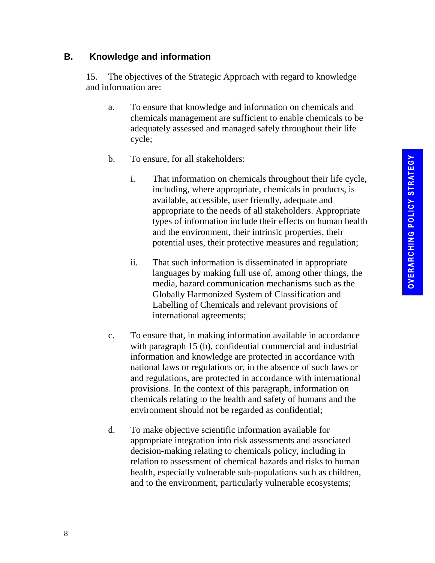#### **B. Knowledge and information**

15. The objectives of the Strategic Approach with regard to knowledge and information are:

- a. To ensure that knowledge and information on chemicals and chemicals management are sufficient to enable chemicals to be adequately assessed and managed safely throughout their life cycle;
- b. To ensure, for all stakeholders:
	- i. That information on chemicals throughout their life cycle, including, where appropriate, chemicals in products, is available, accessible, user friendly, adequate and appropriate to the needs of all stakeholders. Appropriate types of information include their effects on human health and the environment, their intrinsic properties, their potential uses, their protective measures and regulation;
	- ii. That such information is disseminated in appropriate languages by making full use of, among other things, the media, hazard communication mechanisms such as the Globally Harmonized System of Classification and Labelling of Chemicals and relevant provisions of international agreements;
- c. To ensure that, in making information available in accordance with paragraph 15 (b), confidential commercial and industrial information and knowledge are protected in accordance with national laws or regulations or, in the absence of such laws or and regulations, are protected in accordance with international provisions. In the context of this paragraph, information on chemicals relating to the health and safety of humans and the environment should not be regarded as confidential;
- d. To make objective scientific information available for appropriate integration into risk assessments and associated decision-making relating to chemicals policy, including in relation to assessment of chemical hazards and risks to human health, especially vulnerable sub-populations such as children, and to the environment, particularly vulnerable ecosystems;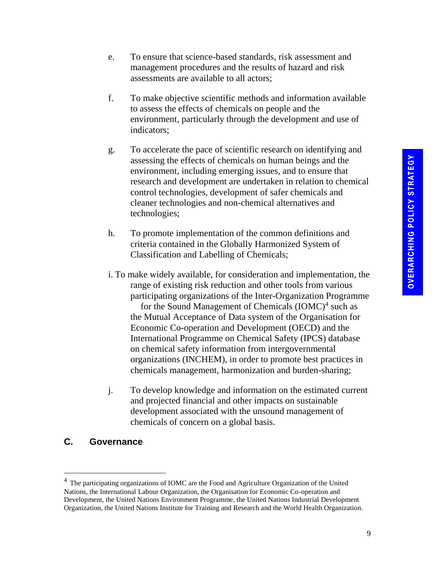- e. To ensure that science-based standards, risk assessment and management procedures and the results of hazard and risk assessments are available to all actors;
- f. To make objective scientific methods and information available to assess the effects of chemicals on people and the environment, particularly through the development and use of indicators;
- g. To accelerate the pace of scientific research on identifying and assessing the effects of chemicals on human beings and the environment, including emerging issues, and to ensure that research and development are undertaken in relation to chemical control technologies, development of safer chemicals and cleaner technologies and non-chemical alternatives and technologies;
- h. To promote implementation of the common definitions and criteria contained in the Globally Harmonized System of Classification and Labelling of Chemicals;
- i. To make widely available, for consideration and implementation, the range of existing risk reduction and other tools from various participating organizations of the Inter-Organization Programme for the Sound Management of Chemicals  $(IOMC)^4$  such as the Mutual Acceptance of Data system of the Organisation for Economic Co-operation and Development (OECD) and the International Programme on Chemical Safety (IPCS) database on chemical safety information from intergovernmental organizations (INCHEM), in order to promote best practices in chemicals management, harmonization and burden-sharing;
- j. To develop knowledge and information on the estimated current and projected financial and other impacts on sustainable development associated with the unsound management of chemicals of concern on a global basis.

#### **C. Governance**

l

<sup>4</sup>The participating organizations of IOMC are the Food and Agriculture Organization of the United Nations, the International Labour Organization, the Organisation for Economic Co-operation and Development, the United Nations Environment Programme, the United Nations Industrial Development Organization, the United Nations Institute for Training and Research and the World Health Organization.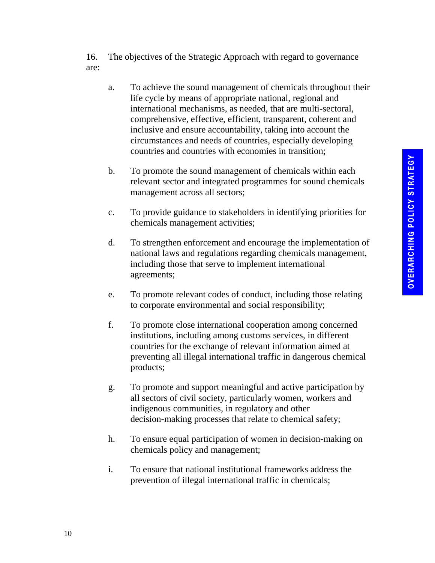16. The objectives of the Strategic Approach with regard to governance are:

- a. To achieve the sound management of chemicals throughout their life cycle by means of appropriate national, regional and international mechanisms, as needed, that are multi-sectoral, comprehensive, effective, efficient, transparent, coherent and inclusive and ensure accountability, taking into account the circumstances and needs of countries, especially developing countries and countries with economies in transition;
- b. To promote the sound management of chemicals within each relevant sector and integrated programmes for sound chemicals management across all sectors;
- c. To provide guidance to stakeholders in identifying priorities for chemicals management activities;
- d. To strengthen enforcement and encourage the implementation of national laws and regulations regarding chemicals management, including those that serve to implement international agreements;
- e. To promote relevant codes of conduct, including those relating to corporate environmental and social responsibility;
- f. To promote close international cooperation among concerned institutions, including among customs services, in different countries for the exchange of relevant information aimed at preventing all illegal international traffic in dangerous chemical products;
- g. To promote and support meaningful and active participation by all sectors of civil society, particularly women, workers and indigenous communities, in regulatory and other decision-making processes that relate to chemical safety;
- h. To ensure equal participation of women in decision-making on chemicals policy and management;
- i. To ensure that national institutional frameworks address the prevention of illegal international traffic in chemicals;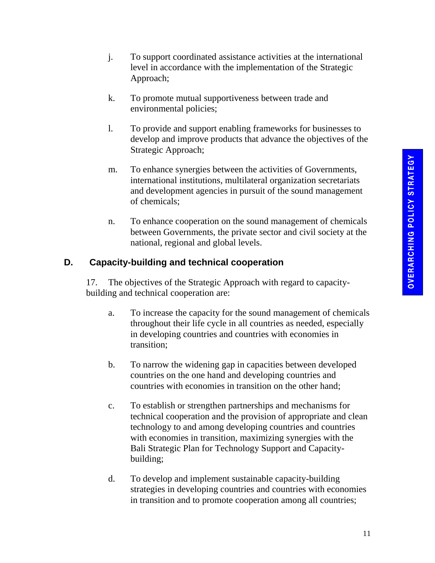- j. To support coordinated assistance activities at the international level in accordance with the implementation of the Strategic Approach;
- k. To promote mutual supportiveness between trade and environmental policies;
- l. To provide and support enabling frameworks for businesses to develop and improve products that advance the objectives of the Strategic Approach;
- m. To enhance synergies between the activities of Governments, international institutions, multilateral organization secretariats and development agencies in pursuit of the sound management of chemicals;
- n. To enhance cooperation on the sound management of chemicals between Governments, the private sector and civil society at the national, regional and global levels.

## **D. Capacity-building and technical cooperation**

17. The objectives of the Strategic Approach with regard to capacitybuilding and technical cooperation are:

- a. To increase the capacity for the sound management of chemicals throughout their life cycle in all countries as needed, especially in developing countries and countries with economies in transition;
- b. To narrow the widening gap in capacities between developed countries on the one hand and developing countries and countries with economies in transition on the other hand;
- c. To establish or strengthen partnerships and mechanisms for technical cooperation and the provision of appropriate and clean technology to and among developing countries and countries with economies in transition, maximizing synergies with the Bali Strategic Plan for Technology Support and Capacitybuilding;
- d. To develop and implement sustainable capacity-building strategies in developing countries and countries with economies in transition and to promote cooperation among all countries;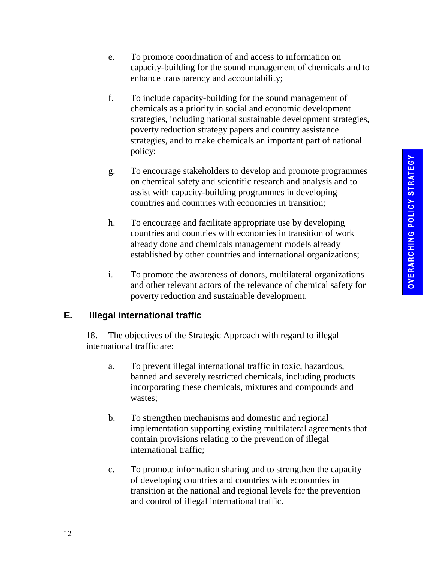- e. To promote coordination of and access to information on capacity-building for the sound management of chemicals and to enhance transparency and accountability;
- f. To include capacity-building for the sound management of chemicals as a priority in social and economic development strategies, including national sustainable development strategies, poverty reduction strategy papers and country assistance strategies, and to make chemicals an important part of national policy;
- g. To encourage stakeholders to develop and promote programmes on chemical safety and scientific research and analysis and to assist with capacity-building programmes in developing countries and countries with economies in transition;
- h. To encourage and facilitate appropriate use by developing countries and countries with economies in transition of work already done and chemicals management models already established by other countries and international organizations;
- i. To promote the awareness of donors, multilateral organizations and other relevant actors of the relevance of chemical safety for poverty reduction and sustainable development.

### **E. Illegal international traffic**

18. The objectives of the Strategic Approach with regard to illegal international traffic are:

- a. To prevent illegal international traffic in toxic, hazardous, banned and severely restricted chemicals, including products incorporating these chemicals, mixtures and compounds and wastes;
- b. To strengthen mechanisms and domestic and regional implementation supporting existing multilateral agreements that contain provisions relating to the prevention of illegal international traffic;
- c. To promote information sharing and to strengthen the capacity of developing countries and countries with economies in transition at the national and regional levels for the prevention and control of illegal international traffic.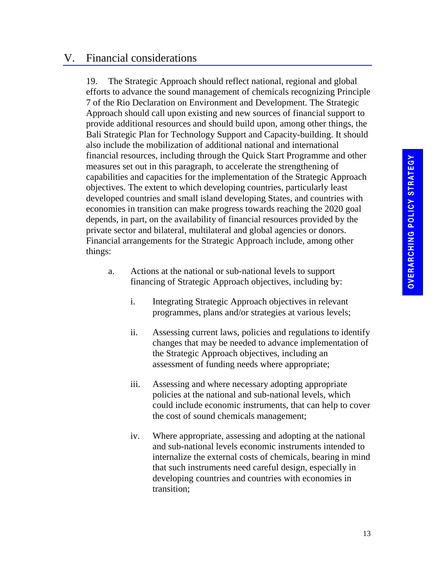## V. Financial considerations

19. The Strategic Approach should reflect national, regional and global efforts to advance the sound management of chemicals recognizing Principle 7 of the Rio Declaration on Environment and Development. The Strategic Approach should call upon existing and new sources of financial support to provide additional resources and should build upon, among other things, the Bali Strategic Plan for Technology Support and Capacity-building. It should also include the mobilization of additional national and international financial resources, including through the Quick Start Programme and other measures set out in this paragraph, to accelerate the strengthening of capabilities and capacities for the implementation of the Strategic Approach objectives. The extent to which developing countries, particularly least developed countries and small island developing States, and countries with economies in transition can make progress towards reaching the 2020 goal depends, in part, on the availability of financial resources provided by the private sector and bilateral, multilateral and global agencies or donors. Financial arrangements for the Strategic Approach include, among other things:

- a. Actions at the national or sub-national levels to support financing of Strategic Approach objectives, including by:
	- i. Integrating Strategic Approach objectives in relevant programmes, plans and/or strategies at various levels;
	- ii. Assessing current laws, policies and regulations to identify changes that may be needed to advance implementation of the Strategic Approach objectives, including an assessment of funding needs where appropriate;
	- iii. Assessing and where necessary adopting appropriate policies at the national and sub-national levels, which could include economic instruments, that can help to cover the cost of sound chemicals management;
	- iv. Where appropriate, assessing and adopting at the national and sub-national levels economic instruments intended to internalize the external costs of chemicals, bearing in mind that such instruments need careful design, especially in developing countries and countries with economies in transition;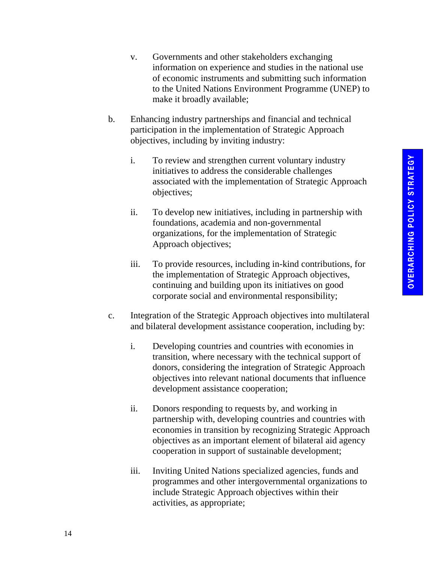- v. Governments and other stakeholders exchanging information on experience and studies in the national use of economic instruments and submitting such information to the United Nations Environment Programme (UNEP) to make it broadly available;
- b. Enhancing industry partnerships and financial and technical participation in the implementation of Strategic Approach objectives, including by inviting industry:
	- i. To review and strengthen current voluntary industry initiatives to address the considerable challenges associated with the implementation of Strategic Approach objectives;
	- ii. To develop new initiatives, including in partnership with foundations, academia and non-governmental organizations, for the implementation of Strategic Approach objectives;
	- iii. To provide resources, including in-kind contributions, for the implementation of Strategic Approach objectives, continuing and building upon its initiatives on good corporate social and environmental responsibility;
- c. Integration of the Strategic Approach objectives into multilateral and bilateral development assistance cooperation, including by:
	- i. Developing countries and countries with economies in transition, where necessary with the technical support of donors, considering the integration of Strategic Approach objectives into relevant national documents that influence development assistance cooperation;
	- ii. Donors responding to requests by, and working in partnership with, developing countries and countries with economies in transition by recognizing Strategic Approach objectives as an important element of bilateral aid agency cooperation in support of sustainable development;
	- iii. Inviting United Nations specialized agencies, funds and programmes and other intergovernmental organizations to include Strategic Approach objectives within their activities, as appropriate;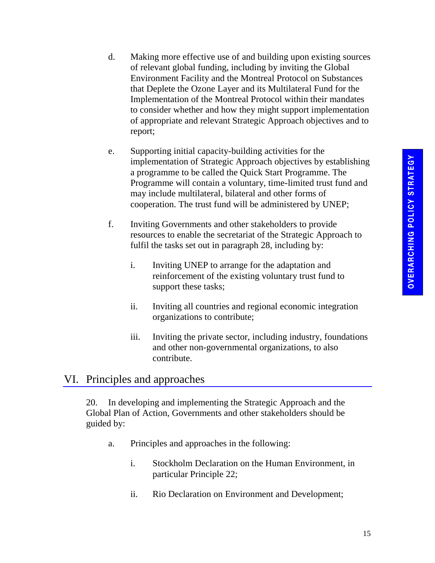- d. Making more effective use of and building upon existing sources of relevant global funding, including by inviting the Global Environment Facility and the Montreal Protocol on Substances that Deplete the Ozone Layer and its Multilateral Fund for the Implementation of the Montreal Protocol within their mandates to consider whether and how they might support implementation of appropriate and relevant Strategic Approach objectives and to report;
- e. Supporting initial capacity-building activities for the implementation of Strategic Approach objectives by establishing a programme to be called the Quick Start Programme. The Programme will contain a voluntary, time-limited trust fund and may include multilateral, bilateral and other forms of cooperation. The trust fund will be administered by UNEP;
- f. Inviting Governments and other stakeholders to provide resources to enable the secretariat of the Strategic Approach to fulfil the tasks set out in paragraph 28, including by:
	- i. Inviting UNEP to arrange for the adaptation and reinforcement of the existing voluntary trust fund to support these tasks;
	- ii. Inviting all countries and regional economic integration organizations to contribute;
	- iii. Inviting the private sector, including industry, foundations and other non-governmental organizations, to also contribute.

## VI. Principles and approaches

20. In developing and implementing the Strategic Approach and the Global Plan of Action, Governments and other stakeholders should be guided by:

- a. Principles and approaches in the following:
	- i. Stockholm Declaration on the Human Environment, in particular Principle 22;
	- ii. Rio Declaration on Environment and Development;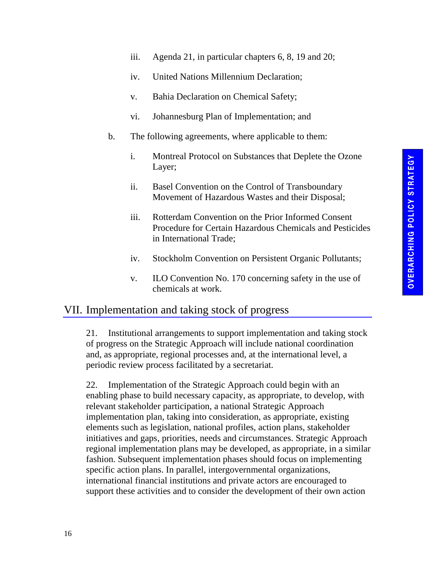- iii. Agenda 21, in particular chapters 6, 8, 19 and 20;
- iv. United Nations Millennium Declaration;
- v. Bahia Declaration on Chemical Safety;
- vi. Johannesburg Plan of Implementation; and
- b. The following agreements, where applicable to them:
	- i. Montreal Protocol on Substances that Deplete the Ozone Layer;
	- ii. Basel Convention on the Control of Transboundary Movement of Hazardous Wastes and their Disposal;
	- iii. Rotterdam Convention on the Prior Informed Consent Procedure for Certain Hazardous Chemicals and Pesticides in International Trade;
	- iv. Stockholm Convention on Persistent Organic Pollutants;
	- v. ILO Convention No. 170 concerning safety in the use of chemicals at work.

## VII. Implementation and taking stock of progress

21. Institutional arrangements to support implementation and taking stock of progress on the Strategic Approach will include national coordination and, as appropriate, regional processes and, at the international level, a periodic review process facilitated by a secretariat.

22. Implementation of the Strategic Approach could begin with an enabling phase to build necessary capacity, as appropriate, to develop, with relevant stakeholder participation, a national Strategic Approach implementation plan, taking into consideration, as appropriate, existing elements such as legislation, national profiles, action plans, stakeholder initiatives and gaps, priorities, needs and circumstances. Strategic Approach regional implementation plans may be developed, as appropriate, in a similar fashion. Subsequent implementation phases should focus on implementing specific action plans. In parallel, intergovernmental organizations, international financial institutions and private actors are encouraged to support these activities and to consider the development of their own action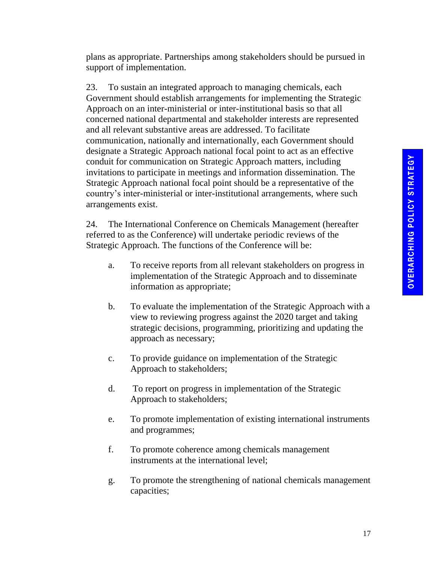plans as appropriate. Partnerships among stakeholders should be pursued in support of implementation.

23. To sustain an integrated approach to managing chemicals, each Government should establish arrangements for implementing the Strategic Approach on an inter-ministerial or inter-institutional basis so that all concerned national departmental and stakeholder interests are represented and all relevant substantive areas are addressed. To facilitate communication, nationally and internationally, each Government should designate a Strategic Approach national focal point to act as an effective conduit for communication on Strategic Approach matters, including invitations to participate in meetings and information dissemination. The Strategic Approach national focal point should be a representative of the country's inter-ministerial or inter-institutional arrangements, where such arrangements exist.

24. The International Conference on Chemicals Management (hereafter referred to as the Conference) will undertake periodic reviews of the Strategic Approach. The functions of the Conference will be:

- a. To receive reports from all relevant stakeholders on progress in implementation of the Strategic Approach and to disseminate information as appropriate;
- b. To evaluate the implementation of the Strategic Approach with a view to reviewing progress against the 2020 target and taking strategic decisions, programming, prioritizing and updating the approach as necessary;
- c. To provide guidance on implementation of the Strategic Approach to stakeholders;
- d. To report on progress in implementation of the Strategic Approach to stakeholders;
- e. To promote implementation of existing international instruments and programmes;
- f. To promote coherence among chemicals management instruments at the international level;
- g. To promote the strengthening of national chemicals management capacities;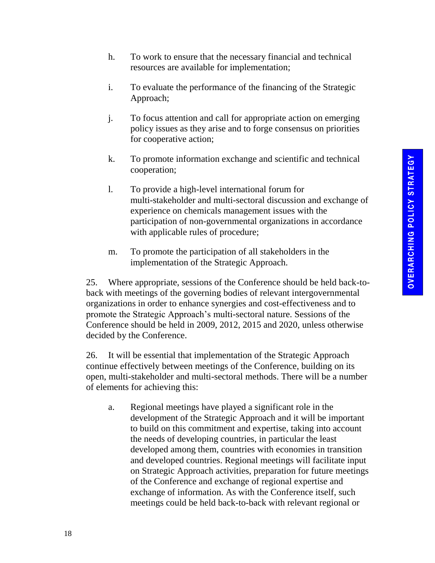- h. To work to ensure that the necessary financial and technical resources are available for implementation;
- i. To evaluate the performance of the financing of the Strategic Approach;
- j. To focus attention and call for appropriate action on emerging policy issues as they arise and to forge consensus on priorities for cooperative action;
- k. To promote information exchange and scientific and technical cooperation;
- l. To provide a high-level international forum for multi-stakeholder and multi-sectoral discussion and exchange of experience on chemicals management issues with the participation of non-governmental organizations in accordance with applicable rules of procedure;
- m. To promote the participation of all stakeholders in the implementation of the Strategic Approach.

25. Where appropriate, sessions of the Conference should be held back-toback with meetings of the governing bodies of relevant intergovernmental organizations in order to enhance synergies and cost-effectiveness and to promote the Strategic Approach's multi-sectoral nature. Sessions of the Conference should be held in 2009, 2012, 2015 and 2020, unless otherwise decided by the Conference.

26. It will be essential that implementation of the Strategic Approach continue effectively between meetings of the Conference, building on its open, multi-stakeholder and multi-sectoral methods. There will be a number of elements for achieving this:

a. Regional meetings have played a significant role in the development of the Strategic Approach and it will be important to build on this commitment and expertise, taking into account the needs of developing countries, in particular the least developed among them, countries with economies in transition and developed countries. Regional meetings will facilitate input on Strategic Approach activities, preparation for future meetings of the Conference and exchange of regional expertise and exchange of information. As with the Conference itself, such meetings could be held back-to-back with relevant regional or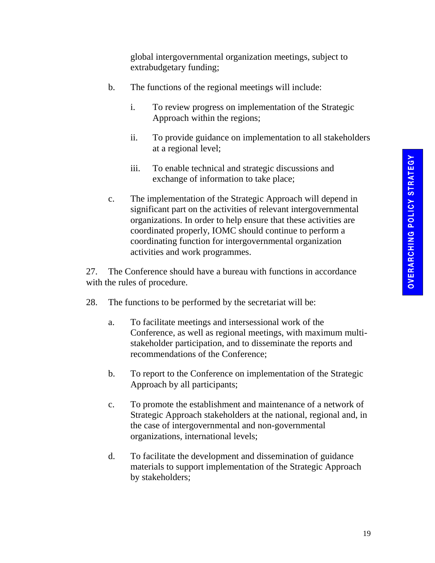global intergovernmental organization meetings, subject to extrabudgetary funding;

- b. The functions of the regional meetings will include:
	- i. To review progress on implementation of the Strategic Approach within the regions;
	- ii. To provide guidance on implementation to all stakeholders at a regional level;
	- iii. To enable technical and strategic discussions and exchange of information to take place;
- c. The implementation of the Strategic Approach will depend in significant part on the activities of relevant intergovernmental organizations. In order to help ensure that these activities are coordinated properly, IOMC should continue to perform a coordinating function for intergovernmental organization activities and work programmes.

27. The Conference should have a bureau with functions in accordance with the rules of procedure.

- 28. The functions to be performed by the secretariat will be:
	- a. To facilitate meetings and intersessional work of the Conference, as well as regional meetings, with maximum multistakeholder participation, and to disseminate the reports and recommendations of the Conference;
	- b. To report to the Conference on implementation of the Strategic Approach by all participants;
	- c. To promote the establishment and maintenance of a network of Strategic Approach stakeholders at the national, regional and, in the case of intergovernmental and non-governmental organizations, international levels;
	- d. To facilitate the development and dissemination of guidance materials to support implementation of the Strategic Approach by stakeholders;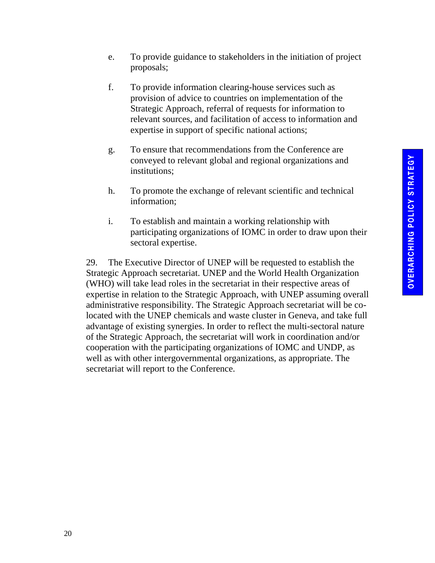- e. To provide guidance to stakeholders in the initiation of project proposals;
- f. To provide information clearing-house services such as provision of advice to countries on implementation of the Strategic Approach, referral of requests for information to relevant sources, and facilitation of access to information and expertise in support of specific national actions;
- g. To ensure that recommendations from the Conference are conveyed to relevant global and regional organizations and institutions;
- h. To promote the exchange of relevant scientific and technical information;
- i. To establish and maintain a working relationship with participating organizations of IOMC in order to draw upon their sectoral expertise.

29. The Executive Director of UNEP will be requested to establish the Strategic Approach secretariat. UNEP and the World Health Organization (WHO) will take lead roles in the secretariat in their respective areas of expertise in relation to the Strategic Approach, with UNEP assuming overall administrative responsibility. The Strategic Approach secretariat will be colocated with the UNEP chemicals and waste cluster in Geneva, and take full advantage of existing synergies. In order to reflect the multi-sectoral nature of the Strategic Approach, the secretariat will work in coordination and/or cooperation with the participating organizations of IOMC and UNDP, as well as with other intergovernmental organizations, as appropriate. The secretariat will report to the Conference.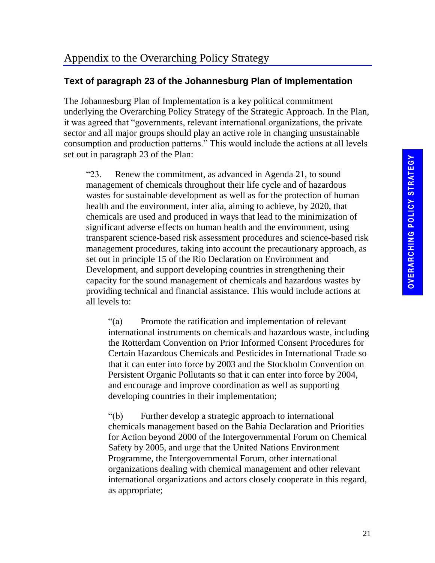#### **Text of paragraph 23 of the Johannesburg Plan of Implementation**

The Johannesburg Plan of Implementation is a key political commitment underlying the Overarching Policy Strategy of the Strategic Approach. In the Plan, it was agreed that "governments, relevant international organizations, the private sector and all major groups should play an active role in changing unsustainable consumption and production patterns." This would include the actions at all levels set out in paragraph 23 of the Plan:

"23. Renew the commitment, as advanced in Agenda 21, to sound management of chemicals throughout their life cycle and of hazardous wastes for sustainable development as well as for the protection of human health and the environment, inter alia, aiming to achieve, by 2020, that chemicals are used and produced in ways that lead to the minimization of significant adverse effects on human health and the environment, using transparent science-based risk assessment procedures and science-based risk management procedures, taking into account the precautionary approach, as set out in principle 15 of the Rio Declaration on Environment and Development, and support developing countries in strengthening their capacity for the sound management of chemicals and hazardous wastes by providing technical and financial assistance. This would include actions at all levels to:

"(a) Promote the ratification and implementation of relevant international instruments on chemicals and hazardous waste, including the Rotterdam Convention on Prior Informed Consent Procedures for Certain Hazardous Chemicals and Pesticides in International Trade so that it can enter into force by 2003 and the Stockholm Convention on Persistent Organic Pollutants so that it can enter into force by 2004, and encourage and improve coordination as well as supporting developing countries in their implementation;

"(b) Further develop a strategic approach to international chemicals management based on the Bahia Declaration and Priorities for Action beyond 2000 of the Intergovernmental Forum on Chemical Safety by 2005, and urge that the United Nations Environment Programme, the Intergovernmental Forum, other international organizations dealing with chemical management and other relevant international organizations and actors closely cooperate in this regard, as appropriate;